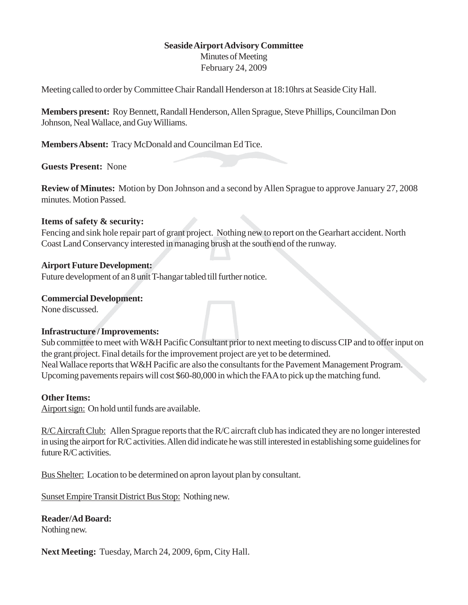## **Seaside Airport Advisory Committee**

Minutes of Meeting February 24, 2009

Meeting called to order by Committee Chair Randall Henderson at 18:10hrs at Seaside City Hall.

**Members present:** Roy Bennett, Randall Henderson, Allen Sprague, Steve Phillips, Councilman Don Johnson, Neal Wallace, and Guy Williams.

**Members Absent:** Tracy McDonald and Councilman Ed Tice.

**Guests Present:** None

**Review of Minutes:** Motion by Don Johnson and a second by Allen Sprague to approve January 27, 2008 minutes. Motion Passed.

## **Items of safety & security:**

Fencing and sink hole repair part of grant project. Nothing new to report on the Gearhart accident. North Coast Land Conservancy interested in managing brush at the south end of the runway.

## **Airport Future Development:**

Future development of an 8 unit T-hangar tabled till further notice.

## **Commercial Development:**

None discussed.

## **Infrastructure / Improvements:**

Sub committee to meet with W&H Pacific Consultant prior to next meeting to discuss CIP and to offer input on the grant project. Final details for the improvement project are yet to be determined. Neal Wallace reports that W&H Pacific are also the consultants for the Pavement Management Program. Upcoming pavements repairs will cost \$60-80,000 in which the FAA to pick up the matching fund.

## **Other Items:**

Airport sign: On hold until funds are available.

R/C Aircraft Club: Allen Sprague reports that the R/C aircraft club has indicated they are no longer interested in using the airport for R/C activities. Allen did indicate he was still interested in establishing some guidelines for future R/C activities.

Bus Shelter: Location to be determined on apron layout plan by consultant.

Sunset Empire Transit District Bus Stop: Nothing new.

# **Reader/Ad Board:**

Nothing new.

**Next Meeting:** Tuesday, March 24, 2009, 6pm, City Hall.